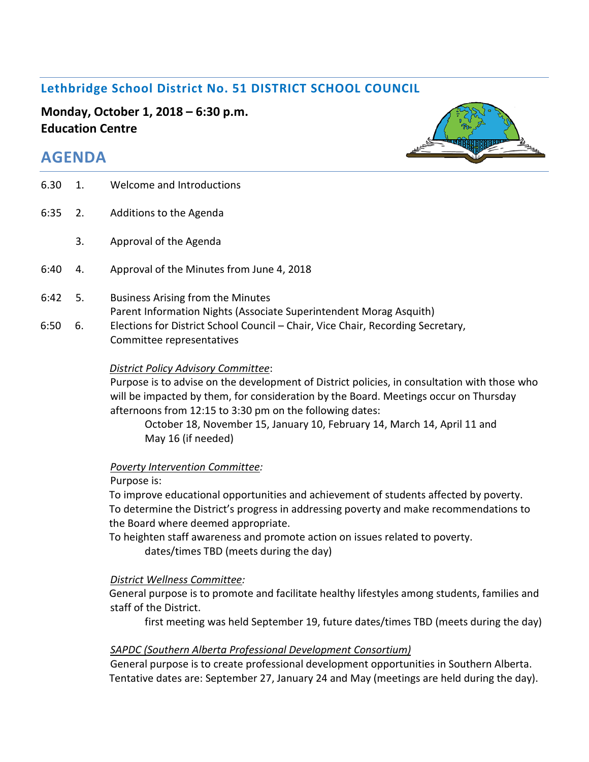# **Lethbridge School District No. 51 DISTRICT SCHOOL COUNCIL**

**Monday, October 1, 2018 – 6:30 p.m. Education Centre**

# **AGENDA**

| 6.30 | 1.  | Welcome and Introductions                                                                                    |
|------|-----|--------------------------------------------------------------------------------------------------------------|
| 6:35 | 2.  | Additions to the Agenda                                                                                      |
|      | 3.  | Approval of the Agenda                                                                                       |
| 6:40 | 4.  | Approval of the Minutes from June 4, 2018                                                                    |
| 6:42 | -5. | Business Arising from the Minutes<br>Parent Information Nights (Associate Superintendent Morag Asquith)      |
| 6:50 | 6.  | Elections for District School Council - Chair, Vice Chair, Recording Secretary,<br>Committee representatives |
|      |     |                                                                                                              |

#### *District Policy Advisory Committee*:

Purpose is to advise on the development of District policies, in consultation with those who will be impacted by them, for consideration by the Board. Meetings occur on Thursday afternoons from 12:15 to 3:30 pm on the following dates:

October 18, November 15, January 10, February 14, March 14, April 11 and May 16 (if needed)

#### *Poverty Intervention Committee:*

#### Purpose is:

To improve educational opportunities and achievement of students affected by poverty. To determine the District's progress in addressing poverty and make recommendations to the Board where deemed appropriate.

To heighten staff awareness and promote action on issues related to poverty.

dates/times TBD (meets during the day)

#### *District Wellness Committee:*

General purpose is to promote and facilitate healthy lifestyles among students, families and staff of the District.

first meeting was held September 19, future dates/times TBD (meets during the day)

#### *SAPDC (Southern Alberta Professional Development Consortium)*

General purpose is to create professional development opportunities in Southern Alberta. Tentative dates are: September 27, January 24 and May (meetings are held during the day).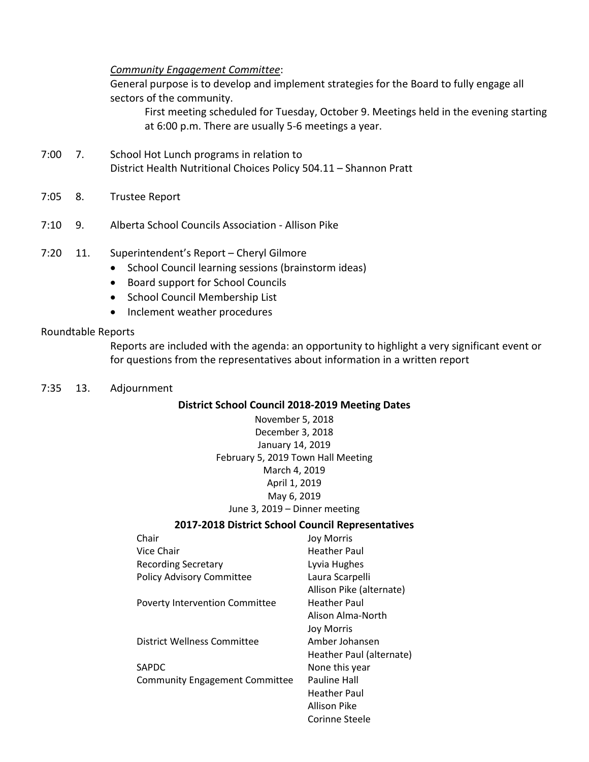#### *Community Engagement Committee*:

General purpose is to develop and implement strategies for the Board to fully engage all sectors of the community.

First meeting scheduled for Tuesday, October 9. Meetings held in the evening starting at 6:00 p.m. There are usually 5-6 meetings a year.

- 7:00 7. School Hot Lunch programs in relation to District Health Nutritional Choices Policy 504.11 – Shannon Pratt
- 7:05 8. Trustee Report
- 7:10 9. Alberta School Councils Association Allison Pike
- 7:20 11. Superintendent's Report Cheryl Gilmore
	- School Council learning sessions (brainstorm ideas)
	- Board support for School Councils
	- School Council Membership List
	- Inclement weather procedures

#### Roundtable Reports

Reports are included with the agenda: an opportunity to highlight a very significant event or for questions from the representatives about information in a written report

7:35 13. Adjournment

#### **District School Council 2018-2019 Meeting Dates**

November 5, 2018 December 3, 2018 January 14, 2019 February 5, 2019 Town Hall Meeting March 4, 2019 April 1, 2019 May 6, 2019 June 3, 2019 – Dinner meeting

#### **2017-2018 District School Council Representatives**

| Chair                                 | <b>Joy Morris</b>        |
|---------------------------------------|--------------------------|
| Vice Chair                            | Heather Paul             |
| <b>Recording Secretary</b>            | Lyvia Hughes             |
| <b>Policy Advisory Committee</b>      | Laura Scarpelli          |
|                                       | Allison Pike (alternate) |
| <b>Poverty Intervention Committee</b> | Heather Paul             |
|                                       | Alison Alma-North        |
|                                       | Joy Morris               |
| District Wellness Committee           | Amber Johansen           |
|                                       | Heather Paul (alternate) |
| SAPDC                                 | None this year           |
| <b>Community Engagement Committee</b> | Pauline Hall             |
|                                       | Heather Paul             |
|                                       | Allison Pike             |
|                                       | Corinne Steele           |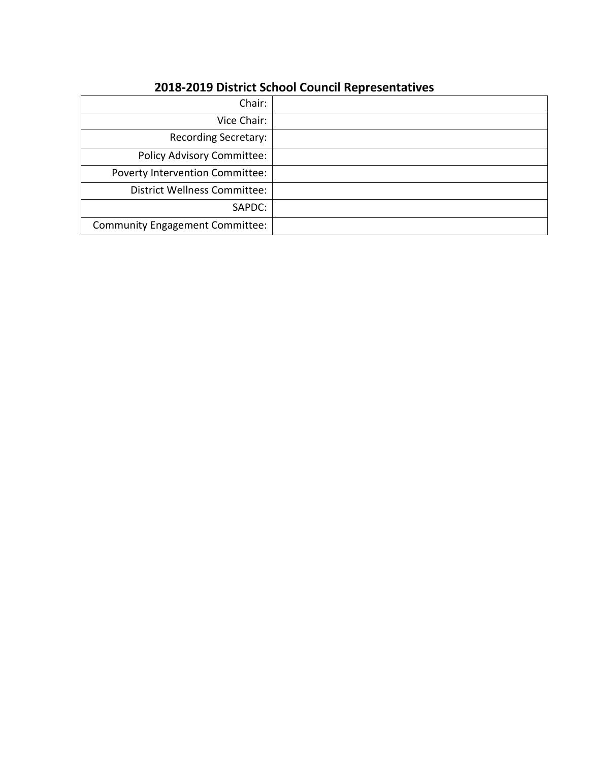# **2018-2019 District School Council Representatives**

| Chair:                                 |  |
|----------------------------------------|--|
| Vice Chair:                            |  |
| Recording Secretary:                   |  |
| <b>Policy Advisory Committee:</b>      |  |
| <b>Poverty Intervention Committee:</b> |  |
| <b>District Wellness Committee:</b>    |  |
| SAPDC:                                 |  |
| <b>Community Engagement Committee:</b> |  |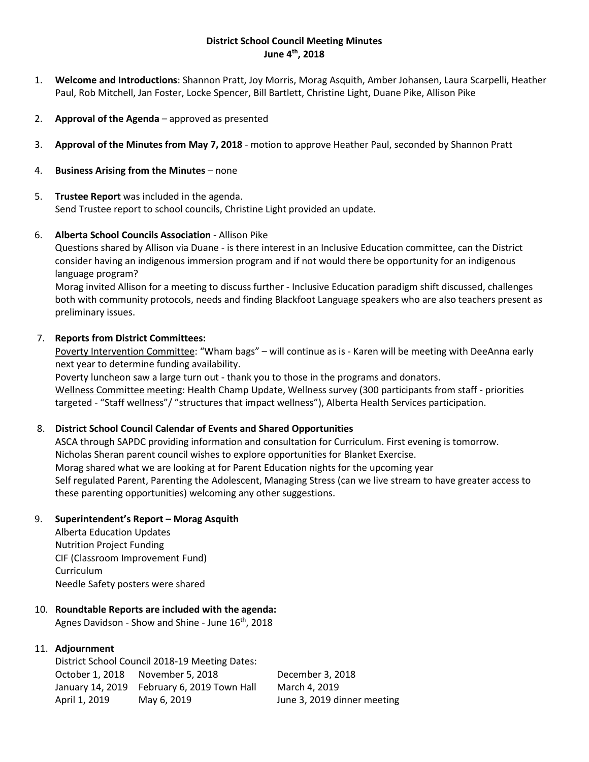#### **District School Council Meeting Minutes June 4th, 2018**

- 1. **Welcome and Introductions**: Shannon Pratt, Joy Morris, Morag Asquith, Amber Johansen, Laura Scarpelli, Heather Paul, Rob Mitchell, Jan Foster, Locke Spencer, Bill Bartlett, Christine Light, Duane Pike, Allison Pike
- 2. **Approval of the Agenda** approved as presented
- 3. **Approval of the Minutes from May 7, 2018** motion to approve Heather Paul, seconded by Shannon Pratt
- 4. **Business Arising from the Minutes** none
- 5. **Trustee Report** was included in the agenda. Send Trustee report to school councils, Christine Light provided an update.

#### 6. **Alberta School Councils Association** - Allison Pike

Questions shared by Allison via Duane - is there interest in an Inclusive Education committee, can the District consider having an indigenous immersion program and if not would there be opportunity for an indigenous language program?

Morag invited Allison for a meeting to discuss further - Inclusive Education paradigm shift discussed, challenges both with community protocols, needs and finding Blackfoot Language speakers who are also teachers present as preliminary issues.

#### 7. **Reports from District Committees:**

Poverty Intervention Committee: "Wham bags" - will continue as is - Karen will be meeting with DeeAnna early next year to determine funding availability.

Poverty luncheon saw a large turn out - thank you to those in the programs and donators. Wellness Committee meeting: Health Champ Update, Wellness survey (300 participants from staff - priorities targeted - "Staff wellness"/ "structures that impact wellness"), Alberta Health Services participation.

#### 8. **District School Council Calendar of Events and Shared Opportunities**

ASCA through SAPDC providing information and consultation for Curriculum. First evening is tomorrow. Nicholas Sheran parent council wishes to explore opportunities for Blanket Exercise. Morag shared what we are looking at for Parent Education nights for the upcoming year Self regulated Parent, Parenting the Adolescent, Managing Stress (can we live stream to have greater access to these parenting opportunities) welcoming any other suggestions.

#### 9. **Superintendent's Report – Morag Asquith**

Alberta Education Updates Nutrition Project Funding CIF (Classroom Improvement Fund) Curriculum Needle Safety posters were shared

## 10. **Roundtable Reports are included with the agenda:**

Agnes Davidson - Show and Shine - June  $16<sup>th</sup>$ , 2018

#### 11. **Adjournment**

District School Council 2018-19 Meeting Dates: October 1, 2018 November 5, 2018 December 3, 2018 January 14, 2019 February 6, 2019 Town Hall March 4, 2019 April 1, 2019 May 6, 2019 June 3, 2019 dinner meeting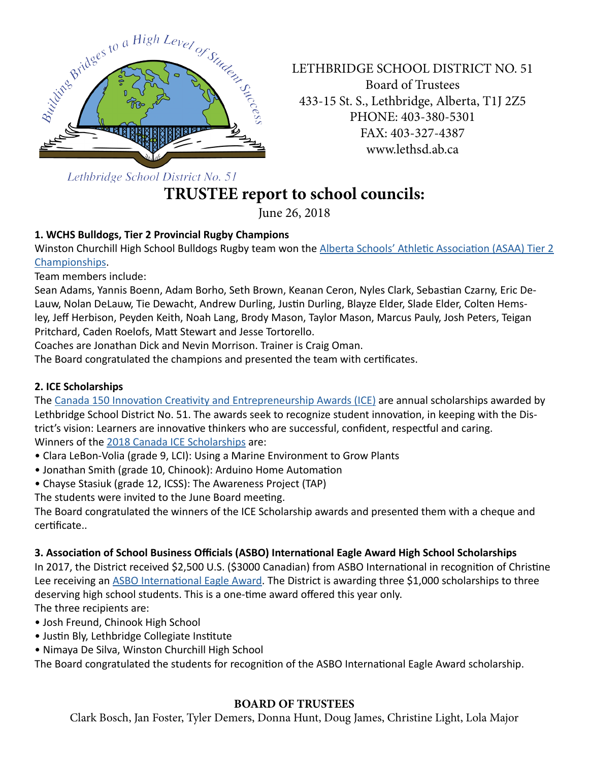

LETHBRIDGE SCHOOL DISTRICT NO. 51 Board of Trustees 433-15 St. S., Lethbridge, Alberta, T1J 2Z5 PHONE: 403-380-5301 FAX: 403-327-4387 www.lethsd.ab.ca

Lethbridge School District No. 51

# **TRUSTEE report to school councils:**

June 26, 2018

# **1. WCHS Bulldogs, Tier 2 Provincial Rugby Champions**

Winston Churchill High School Bulldogs Rugby team won the [Alberta Schools' Athletic Association \(ASAA\) Tier 2](http://www.lethsd.ab.ca/view.php?action=object&id=70683&stream=Homepage%20News)  [Championships](http://www.lethsd.ab.ca/view.php?action=object&id=70683&stream=Homepage%20News).

Team members include:

Sean Adams, Yannis Boenn, Adam Borho, Seth Brown, Keanan Ceron, Nyles Clark, Sebastian Czarny, Eric De-Lauw, Nolan DeLauw, Tie Dewacht, Andrew Durling, Justin Durling, Blayze Elder, Slade Elder, Colten Hemsley, Jeff Herbison, Peyden Keith, Noah Lang, Brody Mason, Taylor Mason, Marcus Pauly, Josh Peters, Teigan Pritchard, Caden Roelofs, Matt Stewart and Jesse Tortorello.

Coaches are Jonathan Dick and Nevin Morrison. Trainer is Craig Oman.

The Board congratulated the champions and presented the team with certificates.

## **2. ICE Scholarships**

The [Canada 150 Innovation Creativity and Entrepreneurship Awards \(ICE\)](http://www.lethsd.ab.ca/view.php?action=object&id=69787&stream=Homepage%20News) are annual scholarships awarded by Lethbridge School District No. 51. The awards seek to recognize student innovation, in keeping with the District's vision: Learners are innovative thinkers who are successful, confident, respectful and caring. Winners of the [2018 Canada ICE Scholarships](http://www.lethsd.ab.ca/view.php?action=object&id=71563&stream=Homepage%20News) are:

- Clara LeBon-Volia (grade 9, LCI): Using a Marine Environment to Grow Plants
- Jonathan Smith (grade 10, Chinook): Arduino Home Automation
- Chayse Stasiuk (grade 12, ICSS): The Awareness Project (TAP)

The students were invited to the June Board meeting.

The Board congratulated the winners of the ICE Scholarship awards and presented them with a cheque and certificate..

## **3. Association of School Business Officials (ASBO) International Eagle Award High School Scholarships**

In 2017, the District received \$2,500 U.S. (\$3000 Canadian) from ASBO International in recognition of Christine Lee receiving an [ASBO International Eagle Award](http://www.lethsd.ab.ca/view.php?action=object&id=71565&stream=Homepage%20News). The District is awarding three \$1,000 scholarships to three deserving high school students. This is a one-time award offered this year only. The three recipients are:

- Josh Freund, Chinook High School
- Justin Bly, Lethbridge Collegiate Institute
- Nimaya De Silva, Winston Churchill High School

The Board congratulated the students for recognition of the ASBO International Eagle Award scholarship.

## **BOARD OF TRUSTEES**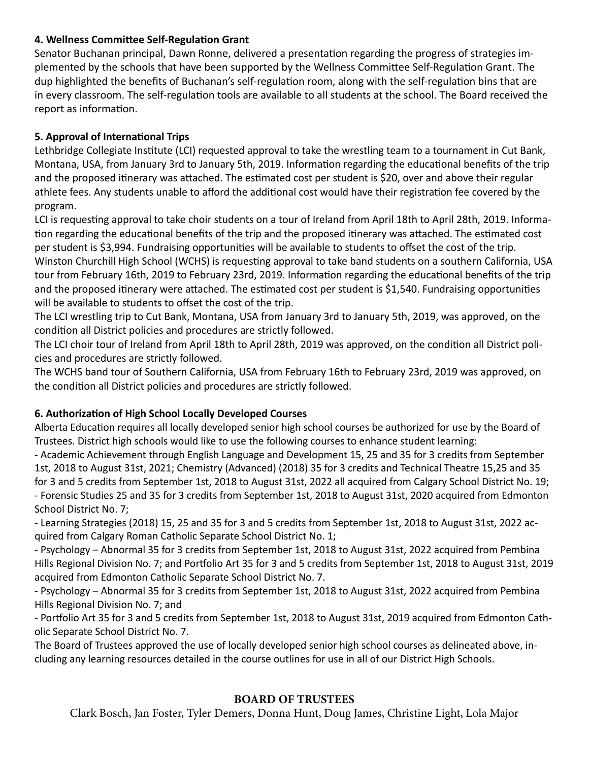#### **4. Wellness Committee Self-Regulation Grant**

Senator Buchanan principal, Dawn Ronne, delivered a presentation regarding the progress of strategies implemented by the schools that have been supported by the Wellness Committee Self-Regulation Grant. The dup highlighted the benefits of Buchanan's self-regulation room, along with the self-regulation bins that are in every classroom. The self-regulation tools are available to all students at the school. The Board received the report as information.

## **5. Approval of International Trips**

Lethbridge Collegiate Institute (LCI) requested approval to take the wrestling team to a tournament in Cut Bank, Montana, USA, from January 3rd to January 5th, 2019. Information regarding the educational benefits of the trip and the proposed itinerary was attached. The estimated cost per student is \$20, over and above their regular athlete fees. Any students unable to afford the additional cost would have their registration fee covered by the program.

LCI is requesting approval to take choir students on a tour of Ireland from April 18th to April 28th, 2019. Information regarding the educational benefits of the trip and the proposed itinerary was attached. The estimated cost per student is \$3,994. Fundraising opportunities will be available to students to offset the cost of the trip. Winston Churchill High School (WCHS) is requesting approval to take band students on a southern California, USA tour from February 16th, 2019 to February 23rd, 2019. Information regarding the educational benefits of the trip and the proposed itinerary were attached. The estimated cost per student is \$1,540. Fundraising opportunities will be available to students to offset the cost of the trip.

The LCI wrestling trip to Cut Bank, Montana, USA from January 3rd to January 5th, 2019, was approved, on the condition all District policies and procedures are strictly followed.

The LCI choir tour of Ireland from April 18th to April 28th, 2019 was approved, on the condition all District policies and procedures are strictly followed.

The WCHS band tour of Southern California, USA from February 16th to February 23rd, 2019 was approved, on the condition all District policies and procedures are strictly followed.

## **6. Authorization of High School Locally Developed Courses**

Alberta Education requires all locally developed senior high school courses be authorized for use by the Board of Trustees. District high schools would like to use the following courses to enhance student learning:

- Academic Achievement through English Language and Development 15, 25 and 35 for 3 credits from September 1st, 2018 to August 31st, 2021; Chemistry (Advanced) (2018) 35 for 3 credits and Technical Theatre 15,25 and 35 for 3 and 5 credits from September 1st, 2018 to August 31st, 2022 all acquired from Calgary School District No. 19; - Forensic Studies 25 and 35 for 3 credits from September 1st, 2018 to August 31st, 2020 acquired from Edmonton School District No. 7;

- Learning Strategies (2018) 15, 25 and 35 for 3 and 5 credits from September 1st, 2018 to August 31st, 2022 acquired from Calgary Roman Catholic Separate School District No. 1;

- Psychology – Abnormal 35 for 3 credits from September 1st, 2018 to August 31st, 2022 acquired from Pembina Hills Regional Division No. 7; and Portfolio Art 35 for 3 and 5 credits from September 1st, 2018 to August 31st, 2019 acquired from Edmonton Catholic Separate School District No. 7.

- Psychology – Abnormal 35 for 3 credits from September 1st, 2018 to August 31st, 2022 acquired from Pembina Hills Regional Division No. 7; and

- Portfolio Art 35 for 3 and 5 credits from September 1st, 2018 to August 31st, 2019 acquired from Edmonton Catholic Separate School District No. 7.

The Board of Trustees approved the use of locally developed senior high school courses as delineated above, including any learning resources detailed in the course outlines for use in all of our District High Schools.

## **BOARD OF TRUSTEES**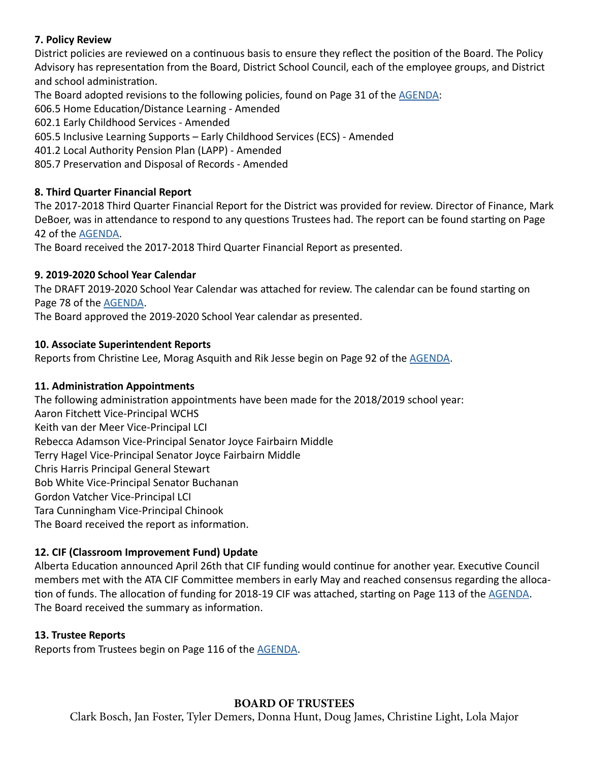#### **7. Policy Review**

District policies are reviewed on a continuous basis to ensure they reflect the position of the Board. The Policy Advisory has representation from the Board, District School Council, each of the employee groups, and District and school administration.

The Board adopted revisions to the following policies, found on Page 31 of the [AGENDA:](http://www.lethsd.ab.ca/documents/general/2018-06-26%20Board%20Meeting%20Agenda.pdf)

606.5 Home Education/Distance Learning - Amended

602.1 Early Childhood Services - Amended

605.5 Inclusive Learning Supports – Early Childhood Services (ECS) - Amended

401.2 Local Authority Pension Plan (LAPP) - Amended

805.7 Preservation and Disposal of Records - Amended

## **8. Third Quarter Financial Report**

The 2017-2018 Third Quarter Financial Report for the District was provided for review. Director of Finance, Mark DeBoer, was in attendance to respond to any questions Trustees had. The report can be found starting on Page 42 of the [AGENDA](http://www.lethsd.ab.ca/documents/general/2018-06-26%20Board%20Meeting%20Agenda.pdf).

The Board received the 2017-2018 Third Quarter Financial Report as presented.

## **9. 2019-2020 School Year Calendar**

The DRAFT 2019-2020 School Year Calendar was attached for review. The calendar can be found starting on Page 78 of the [AGENDA](http://www.lethsd.ab.ca/documents/general/2018-06-26%20Board%20Meeting%20Agenda.pdf).

The Board approved the 2019-2020 School Year calendar as presented.

## **10. Associate Superintendent Reports**

Reports from Christine Lee, Morag Asquith and Rik Jesse begin on Page 92 of the [AGENDA](http://www.lethsd.ab.ca/documents/general/2018-06-26%20Board%20Meeting%20Agenda.pdf).

#### **11. Administration Appointments**

The following administration appointments have been made for the 2018/2019 school year: Aaron Fitchett Vice-Principal WCHS Keith van der Meer Vice-Principal LCI Rebecca Adamson Vice-Principal Senator Joyce Fairbairn Middle Terry Hagel Vice-Principal Senator Joyce Fairbairn Middle Chris Harris Principal General Stewart Bob White Vice-Principal Senator Buchanan Gordon Vatcher Vice-Principal LCI Tara Cunningham Vice-Principal Chinook The Board received the report as information.

## **12. CIF (Classroom Improvement Fund) Update**

Alberta Education announced April 26th that CIF funding would continue for another year. Executive Council members met with the ATA CIF Committee members in early May and reached consensus regarding the allocation of funds. The allocation of funding for 2018-19 CIF was attached, starting on Page 113 of the [AGENDA](http://www.lethsd.ab.ca/documents/general/2018-06-26%20Board%20Meeting%20Agenda.pdf). The Board received the summary as information.

#### **13. Trustee Reports**

Reports from Trustees begin on Page 116 of the [AGENDA](http://www.lethsd.ab.ca/documents/general/2018-06-26%20Board%20Meeting%20Agenda.pdf).

## **BOARD OF TRUSTEES**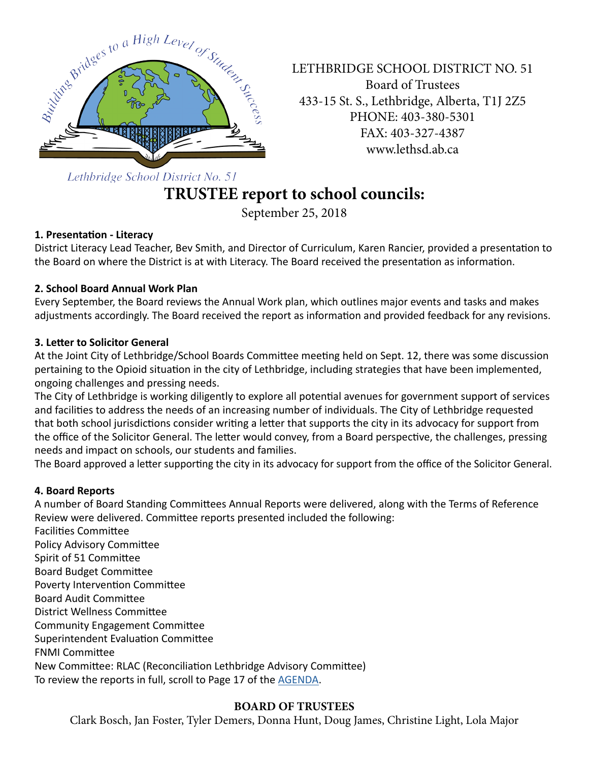

LETHBRIDGE SCHOOL DISTRICT NO. 51 Board of Trustees 433-15 St. S., Lethbridge, Alberta, T1J 2Z5 PHONE: 403-380-5301 FAX: 403-327-4387 www.lethsd.ab.ca

Lethbridge School District No. 51

# **TRUSTEE report to school councils:**

September 25, 2018

## **1. Presentation - Literacy**

District Literacy Lead Teacher, Bev Smith, and Director of Curriculum, Karen Rancier, provided a presentation to the Board on where the District is at with Literacy. The Board received the presentation as information.

## **2. School Board Annual Work Plan**

Every September, the Board reviews the Annual Work plan, which outlines major events and tasks and makes adjustments accordingly. The Board received the report as information and provided feedback for any revisions.

## **3. Letter to Solicitor General**

At the Joint City of Lethbridge/School Boards Committee meeting held on Sept. 12, there was some discussion pertaining to the Opioid situation in the city of Lethbridge, including strategies that have been implemented, ongoing challenges and pressing needs.

The City of Lethbridge is working diligently to explore all potential avenues for government support of services and facilities to address the needs of an increasing number of individuals. The City of Lethbridge requested that both school jurisdictions consider writing a letter that supports the city in its advocacy for support from the office of the Solicitor General. The letter would convey, from a Board perspective, the challenges, pressing needs and impact on schools, our students and families.

The Board approved a letter supporting the city in its advocacy for support from the office of the Solicitor General.

## **4. Board Reports**

A number of Board Standing Committees Annual Reports were delivered, along with the Terms of Reference Review were delivered. Committee reports presented included the following:

Facilities Committee Policy Advisory Committee Spirit of 51 Committee Board Budget Committee Poverty Intervention Committee Board Audit Committee District Wellness Committee Community Engagement Committee Superintendent Evaluation Committee FNMI Committee New Committee: RLAC (Reconciliation Lethbridge Advisory Committee) To review the reports in full, scroll to Page 17 of the [AGENDA](http://www.lethsd.ab.ca/documents/general/2018-09-25%20Board%20Meeting%20Agenda.pdf).

## **BOARD OF TRUSTEES**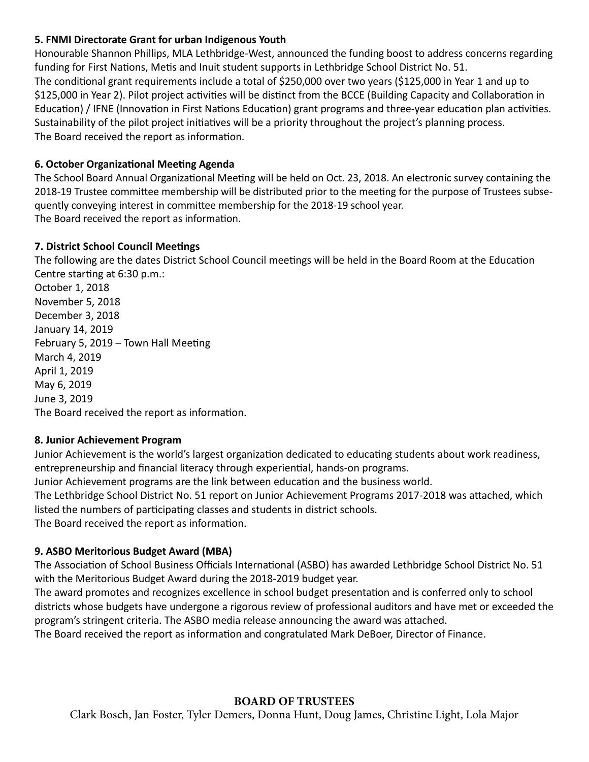#### **5. FNMI Directorate Grant for urban Indigenous Youth**

Honourable Shannon Phillips, MLA Lethbridge-West, announced the funding boost to address concerns regarding funding for First Nations, Metis and Inuit student supports in Lethbridge School District No. 51. The conditional grant requirements include a total of \$250,000 over two years (\$125,000 in Year 1 and up to \$125,000 in Year 2). Pilot project activities will be distinct from the BCCE (Building Capacity and Collaboration in Education) / IFNE (Innovation in First Nations Education) grant programs and three-year education plan activities. Sustainability of the pilot project initiatives will be a priority throughout the project's planning process. The Board received the report as information.

#### **6. October Organizational Meeting Agenda**

The School Board Annual Organizational Meeting will be held on Oct. 23, 2018. An electronic survey containing the 2018-19 Trustee committee membership will be distributed prior to the meeting for the purpose of Trustees subsequently conveying interest in committee membership for the 2018-19 school year. The Board received the report as information.

#### **7. District School Council Meetings**

The following are the dates District School Council meetings will be held in the Board Room at the Education Centre starting at 6:30 p.m.:

October 1, 2018 November 5, 2018 December 3, 2018 January 14, 2019 February 5, 2019 – Town Hall Meeting March 4, 2019 April 1, 2019 May 6, 2019 June 3, 2019 The Board received the report as information.

#### **8. Junior Achievement Program**

Junior Achievement is the world's largest organization dedicated to educating students about work readiness, entrepreneurship and financial literacy through experiential, hands-on programs. Junior Achievement programs are the link between education and the business world. The Lethbridge School District No. 51 report on Junior Achievement Programs 2017-2018 was attached, which listed the numbers of participating classes and students in district schools. The Board received the report as information.

#### **9. ASBO Meritorious Budget Award (MBA)**

The Association of School Business Officials International (ASBO) has awarded Lethbridge School District No. 51 with the Meritorious Budget Award during the 2018-2019 budget year.

The award promotes and recognizes excellence in school budget presentation and is conferred only to school districts whose budgets have undergone a rigorous review of professional auditors and have met or exceeded the program's stringent criteria. The ASBO media release announcing the award was attached.

The Board received the report as information and congratulated Mark DeBoer, Director of Finance.

## **BOARD OF TRUSTEES**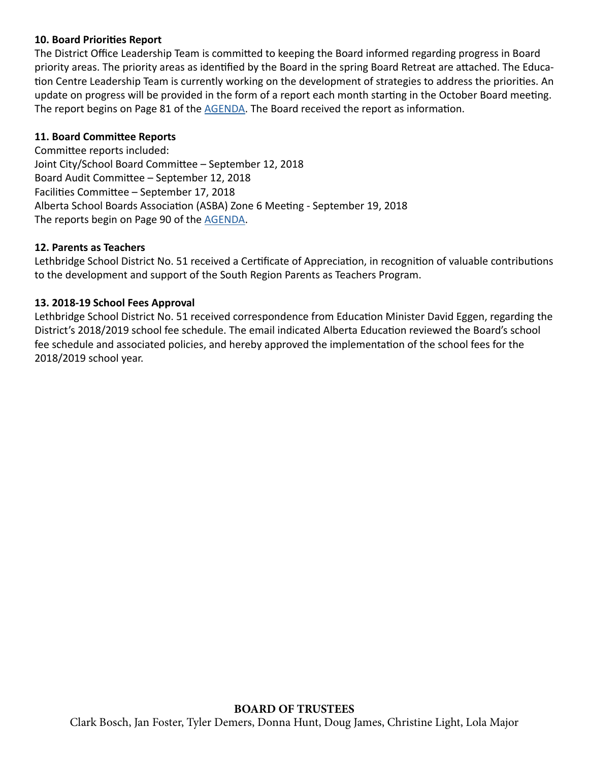#### **10. Board Priorities Report**

The District Office Leadership Team is committed to keeping the Board informed regarding progress in Board priority areas. The priority areas as identified by the Board in the spring Board Retreat are attached. The Education Centre Leadership Team is currently working on the development of strategies to address the priorities. An update on progress will be provided in the form of a report each month starting in the October Board meeting. The report begins on Page 81 of the [AGENDA.](http://www.lethsd.ab.ca/documents/general/2018-09-25%20Board%20Meeting%20Agenda.pdf) The Board received the report as information.

## **11. Board Committee Reports**

Committee reports included: Joint City/School Board Committee – September 12, 2018 Board Audit Committee – September 12, 2018 Facilities Committee – September 17, 2018 Alberta School Boards Association (ASBA) Zone 6 Meeting - September 19, 2018 The reports begin on Page 90 of the [AGENDA](http://www.lethsd.ab.ca/documents/general/2018-09-25%20Board%20Meeting%20Agenda.pdf).

#### **12. Parents as Teachers**

Lethbridge School District No. 51 received a Certificate of Appreciation, in recognition of valuable contributions to the development and support of the South Region Parents as Teachers Program.

#### **13. 2018-19 School Fees Approval**

Lethbridge School District No. 51 received correspondence from Education Minister David Eggen, regarding the District's 2018/2019 school fee schedule. The email indicated Alberta Education reviewed the Board's school fee schedule and associated policies, and hereby approved the implementation of the school fees for the 2018/2019 school year.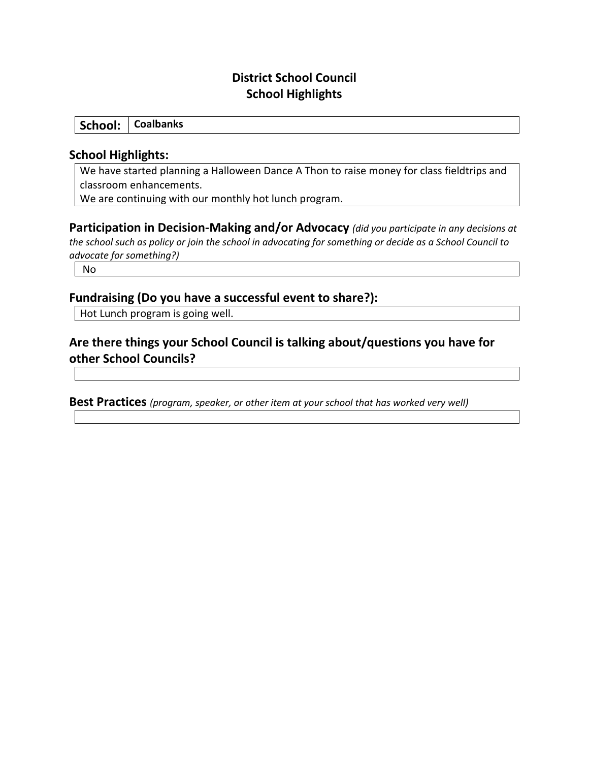# **District School Council School Highlights**

**School: Coalbanks**

#### **School Highlights:**

We have started planning a Halloween Dance A Thon to raise money for class fieldtrips and classroom enhancements.

We are continuing with our monthly hot lunch program.

**Participation in Decision-Making and/or Advocacy** *(did you participate in any decisions at the school such as policy or join the school in advocating for something or decide as a School Council to advocate for something?)*

No

## **Fundraising (Do you have a successful event to share?):**

Hot Lunch program is going well.

# **Are there things your School Council is talking about/questions you have for other School Councils?**

**Best Practices** *(program, speaker, or other item at your school that has worked very well)*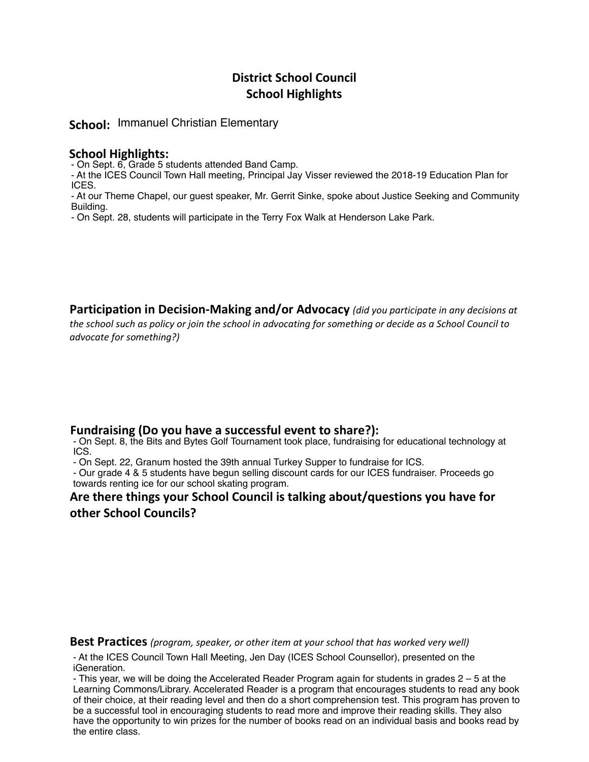## **District School Council School Highlights**

**School:** Immanuel Christian Elementary

#### **School Highlights:**

- On Sept. 6, Grade 5 students attended Band Camp.

- At the ICES Council Town Hall meeting, Principal Jay Visser reviewed the 2018-19 Education Plan for ICES.

- At our Theme Chapel, our guest speaker, Mr. Gerrit Sinke, spoke about Justice Seeking and Community Building.

- On Sept. 28, students will participate in the Terry Fox Walk at Henderson Lake Park.

**Participation in Decision-Making and/or Advocacy** *(did you participate in any decisions at the school such as policy or join the school in advocating for something or decide as a School Council to advocate for something?)*

#### **Fundraising (Do you have a successful event to share?):**

- On Sept. 8, the Bits and Bytes Golf Tournament took place, fundraising for educational technology at ICS.

- On Sept. 22, Granum hosted the 39th annual Turkey Supper to fundraise for ICS.

- Our grade 4 & 5 students have begun selling discount cards for our ICES fundraiser. Proceeds go towards renting ice for our school skating program.

#### **Are there things your School Council is talking about/questions you have for other School Councils?**

**Best Practices** *(program, speaker, or other item at your school that has worked very well)*

- At the ICES Council Town Hall Meeting, Jen Day (ICES School Counsellor), presented on the iGeneration.

- This year, we will be doing the Accelerated Reader Program again for students in grades 2 – 5 at the Learning Commons/Library. Accelerated Reader is a program that encourages students to read any book of their choice, at their reading level and then do a short comprehension test. This program has proven to be a successful tool in encouraging students to read more and improve their reading skills. They also have the opportunity to win prizes for the number of books read on an individual basis and books read by the entire class.